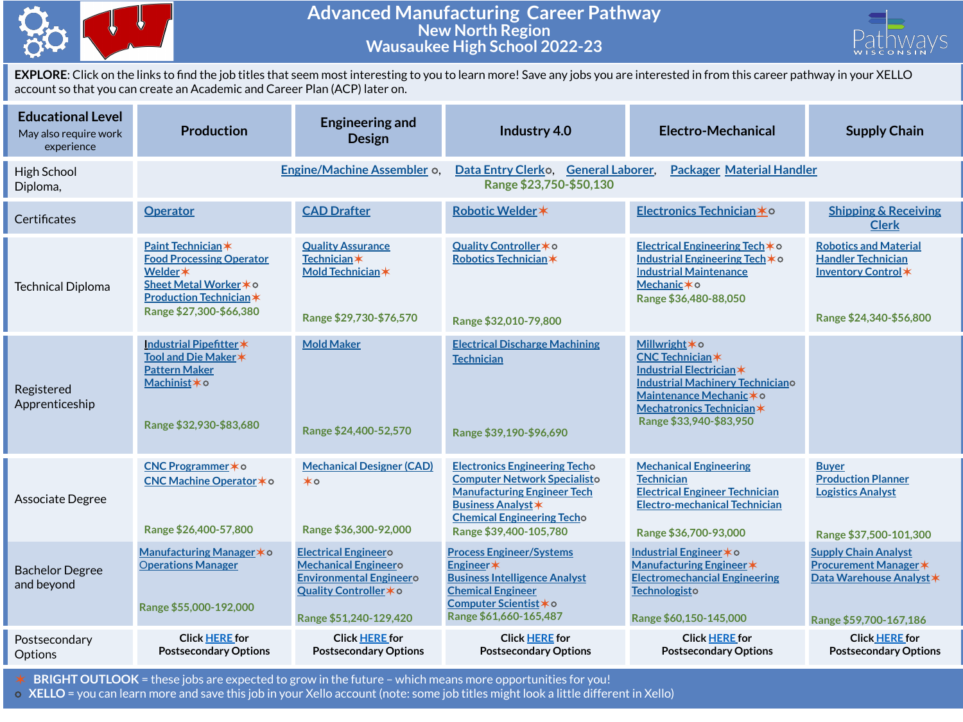

## **Advanced Manufacturing Career Pathway New North Region Wausaukee High School 2022-23**



**EXPLORE**: Click on the links to find the job titles that seem most interesting to you to learn more! Save any jobs you are interested in from this career pathway in your XELLO account so that you can create an Academic and Career Plan (ACP) later on.

| <b>Educational Level</b><br>May also require work<br>experience | <b>Production</b>                                                                                                                                       | <b>Engineering and</b><br><b>Design</b>                                                                                                          | Industry 4.0                                                                                                                                                                                                  | Electro-Mechanical                                                                                                                                                                          | <b>Supply Chain</b>                                                                                               |
|-----------------------------------------------------------------|---------------------------------------------------------------------------------------------------------------------------------------------------------|--------------------------------------------------------------------------------------------------------------------------------------------------|---------------------------------------------------------------------------------------------------------------------------------------------------------------------------------------------------------------|---------------------------------------------------------------------------------------------------------------------------------------------------------------------------------------------|-------------------------------------------------------------------------------------------------------------------|
| High School<br>Diploma,                                         |                                                                                                                                                         | Engine/Machine Assembler o.                                                                                                                      | Data Entry Clerko. General Laborer.<br><b>Packager Material Handler</b><br>Range \$23,750-\$50,130                                                                                                            |                                                                                                                                                                                             |                                                                                                                   |
| Certificates                                                    | <b>Operator</b>                                                                                                                                         | <b>CAD Drafter</b>                                                                                                                               | Robotic Welder *                                                                                                                                                                                              | Electronics Technician *O                                                                                                                                                                   | <b>Shipping &amp; Receiving</b><br><b>Clerk</b>                                                                   |
| <b>Technical Diploma</b>                                        | Paint Technician*<br><b>Food Processing Operator</b><br>Welder *<br>Sheet Metal Worker * o<br><b>Production Technician *</b><br>Range \$27,300-\$66,380 | <b>Quality Assurance</b><br><b>Technician</b> *<br>Mold Technician*<br>Range \$29,730-\$76,570                                                   | Quality Controller * o<br>Robotics Technician*<br>Range \$32,010-79,800                                                                                                                                       | Electrical Engineering Tech * o<br>Industrial Engineering Tech * o<br><b>Industrial Maintenance</b><br>Mechanic * o<br>Range \$36,480-88,050                                                | <b>Robotics and Material</b><br><b>Handler Technician</b><br>Inventory Control*<br>Range \$24,340-\$56,800        |
| Registered<br>Apprenticeship                                    | Industrial Pipefitter*<br>Tool and Die Maker *<br><b>Pattern Maker</b><br>Machinist*o<br>Range \$32,930-\$83,680                                        | <b>Mold Maker</b><br>Range \$24,400-52,570                                                                                                       | <b>Electrical Discharge Machining</b><br><b>Technician</b><br>Range \$39,190-\$96,690                                                                                                                         | Millwright * o<br>CNC Technician*<br>Industrial Electrician *<br><b>Industrial Machinery Techniciano</b><br>Maintenance Mechanic * 0<br>Mechatronics Technician*<br>Range \$33,940-\$83,950 |                                                                                                                   |
| Associate Degree                                                | CNC Programmer * o<br>CNC Machine Operator * o<br>Range \$26,400-57,800                                                                                 | <b>Mechanical Designer (CAD)</b><br>$\star \circ$<br>Range \$36,300-92,000                                                                       | <b>Electronics Engineering Techo</b><br><b>Computer Network Specialisto</b><br><b>Manufacturing Engineer Tech</b><br><b>Business Analyst *</b><br><b>Chemical Engineering Techo</b><br>Range \$39,400-105,780 | <b>Mechanical Engineering</b><br><b>Technician</b><br><b>Electrical Engineer Technician</b><br><b>Electro-mechanical Technician</b><br>Range \$36,700-93,000                                | <b>Buver</b><br><b>Production Planner</b><br><b>Logistics Analyst</b><br>Range \$37,500-101,300                   |
| <b>Bachelor Degree</b><br>and beyond                            | Manufacturing Manager * o<br><b>Operations Manager</b><br>Range \$55,000-192,000                                                                        | <b>Electrical Engineero</b><br><b>Mechanical Engineero</b><br><b>Environmental Engineero</b><br>Quality Controller * o<br>Range \$51,240-129,420 | <b>Process Engineer/Systems</b><br>Engineer*<br><b>Business Intelligence Analyst</b><br><b>Chemical Engineer</b><br>Computer Scientist * o<br>Range \$61,660-165,487                                          | Industrial Engineer * o<br>Manufacturing Engineer *<br><b>Electromechancial Engineering</b><br>Technologisto<br>Range \$60,150-145,000                                                      | <b>Supply Chain Analyst</b><br><b>Procurement Manager *</b><br>Data Warehouse Analyst *<br>Range \$59,700-167,186 |
| Postsecondary<br>Options                                        | <b>Click HERE for</b><br><b>Postsecondary Options</b>                                                                                                   | <b>Click HERE for</b><br><b>Postsecondary Options</b>                                                                                            | <b>Click HERE for</b><br><b>Postsecondary Options</b>                                                                                                                                                         | <b>Click HERE for</b><br><b>Postsecondary Options</b>                                                                                                                                       | <b>Click HERE for</b><br><b>Postsecondary Options</b>                                                             |

✶ **BRIGHT OUTLOOK** = these jobs are expected to grow in the future – which means more opportunities for you!

⭘ **XELLO** = you can learn more and save this job in your Xello account (note: some job titles might look a little different in Xello)